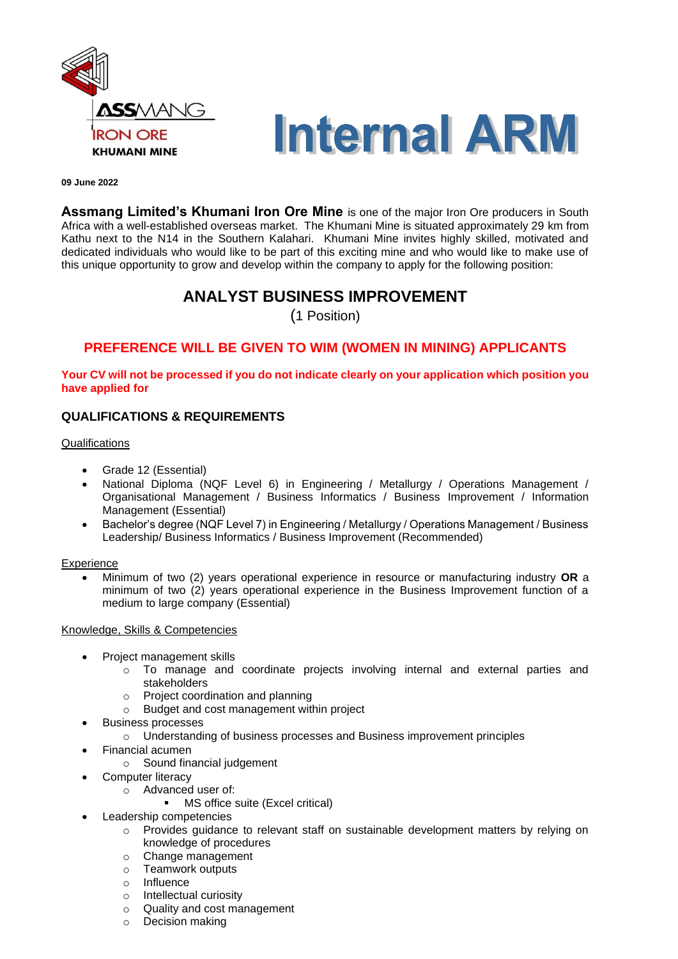



#### **09 June 2022**

**Assmang Limited's Khumani Iron Ore Mine** is one of the major Iron Ore producers in South Africa with a well-established overseas market. The Khumani Mine is situated approximately 29 km from Kathu next to the N14 in the Southern Kalahari. Khumani Mine invites highly skilled, motivated and dedicated individuals who would like to be part of this exciting mine and who would like to make use of this unique opportunity to grow and develop within the company to apply for the following position:

# **ANALYST BUSINESS IMPROVEMENT**

(1 Position)

# **PREFERENCE WILL BE GIVEN TO WIM (WOMEN IN MINING) APPLICANTS**

#### **Your CV will not be processed if you do not indicate clearly on your application which position you have applied for**

## **QUALIFICATIONS & REQUIREMENTS**

#### **Qualifications**

- Grade 12 (Essential)
- National Diploma (NQF Level 6) in Engineering / Metallurgy / Operations Management / Organisational Management / Business Informatics / Business Improvement / Information Management (Essential)
- Bachelor's degree (NQF Level 7) in Engineering / Metallurgy / Operations Management / Business Leadership/ Business Informatics / Business Improvement (Recommended)

#### **Experience**

• Minimum of two (2) years operational experience in resource or manufacturing industry **OR** a minimum of two (2) years operational experience in the Business Improvement function of a medium to large company (Essential)

### Knowledge, Skills & Competencies

- Project management skills
	- $\circ$  To manage and coordinate projects involving internal and external parties and stakeholders
	-
	- o Project coordination and planning<br>
	o Budget and cost management wite Budget and cost management within project
- Business processes
	- o Understanding of business processes and Business improvement principles
- Financial acumen
	- o Sound financial judgement
- Computer literacy
	- o Advanced user of:
		- MS office suite (Excel critical)
- Leadership competencies
	- o Provides guidance to relevant staff on sustainable development matters by relying on knowledge of procedures
	- o Change management
	- o Teamwork outputs
	- o Influence
	- o Intellectual curiosity
	- o Quality and cost management
	- o Decision making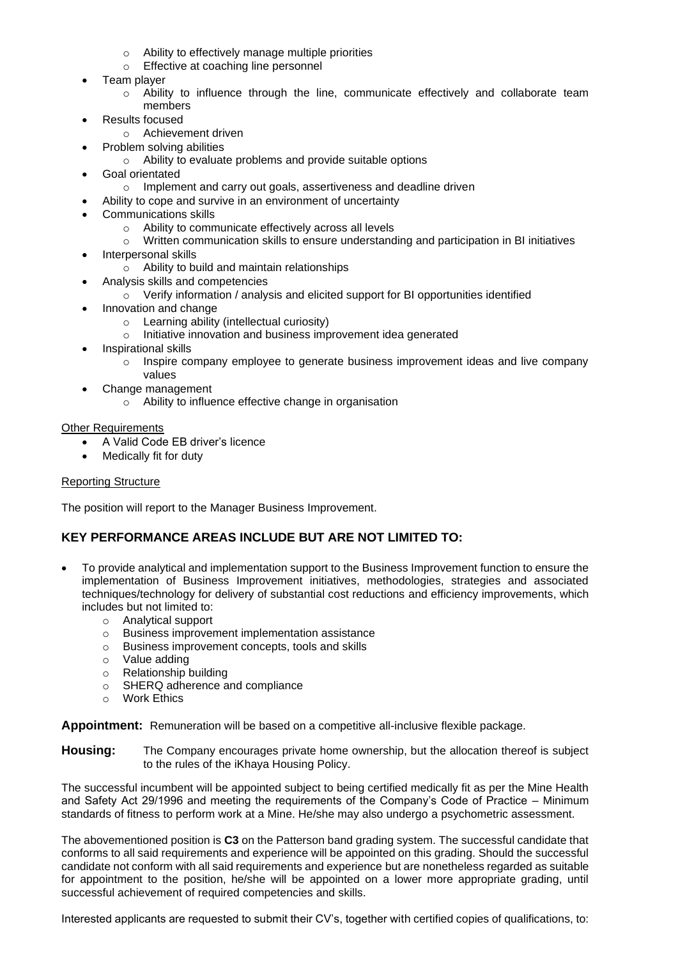- o Ability to effectively manage multiple priorities
- o Effective at coaching line personnel
- Team player
	- $\circ$  Ability to influence through the line, communicate effectively and collaborate team members
- Results focused
	- o Achievement driven
	- Problem solving abilities
		- o Ability to evaluate problems and provide suitable options
- Goal orientated
	- o Implement and carry out goals, assertiveness and deadline driven
- Ability to cope and survive in an environment of uncertainty
- Communications skills
	- o Ability to communicate effectively across all levels
	- o Written communication skills to ensure understanding and participation in BI initiatives
- Interpersonal skills
	- o Ability to build and maintain relationships
- Analysis skills and competencies
	- $\circ$  Verify information / analysis and elicited support for BI opportunities identified
- Innovation and change
	- o Learning ability (intellectual curiosity)
	- o Initiative innovation and business improvement idea generated
- Inspirational skills
	- $\circ$  Inspire company employee to generate business improvement ideas and live company values
- Change management
	- o Ability to influence effective change in organisation

### Other Requirements

- A Valid Code EB driver's licence
- Medically fit for duty

### Reporting Structure

The position will report to the Manager Business Improvement.

### **KEY PERFORMANCE AREAS INCLUDE BUT ARE NOT LIMITED TO:**

- To provide analytical and implementation support to the Business Improvement function to ensure the implementation of Business Improvement initiatives, methodologies, strategies and associated techniques/technology for delivery of substantial cost reductions and efficiency improvements, which includes but not limited to:
	- o Analytical support
	- o Business improvement implementation assistance
	- o Business improvement concepts, tools and skills
	- o Value adding
	- o Relationship building
	- o SHERQ adherence and compliance
	- o Work Ethics

**Appointment:** Remuneration will be based on a competitive all-inclusive flexible package.

**Housing:** The Company encourages private home ownership, but the allocation thereof is subject to the rules of the iKhaya Housing Policy.

The successful incumbent will be appointed subject to being certified medically fit as per the Mine Health and Safety Act 29/1996 and meeting the requirements of the Company's Code of Practice – Minimum standards of fitness to perform work at a Mine. He/she may also undergo a psychometric assessment.

The abovementioned position is **C3** on the Patterson band grading system. The successful candidate that conforms to all said requirements and experience will be appointed on this grading. Should the successful candidate not conform with all said requirements and experience but are nonetheless regarded as suitable for appointment to the position, he/she will be appointed on a lower more appropriate grading, until successful achievement of required competencies and skills.

Interested applicants are requested to submit their CV's, together with certified copies of qualifications, to: